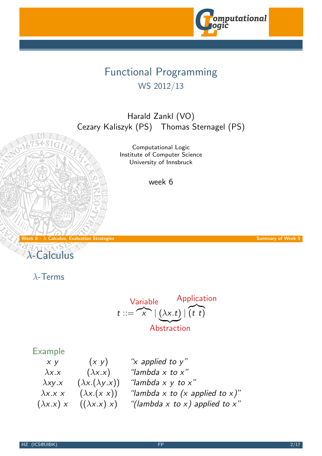

## Functional Programming WS 2012/13

Harald Zankl (VO) Cezary Kaliszyk (PS) Thomas Sternagel (PS)

> Computational Logic Institute of Computer Science University of Innsbruck

> > week 6

Week 6 -  $\lambda$  Calculus, Evaluation Strategies Summary of Week 5



λ-Terms

<span id="page-0-0"></span>Variable Application  

$$
t ::= \overbrace{x} | (\lambda x.t) | (t \ t)
$$
Abstraction

### Example

| $X$ $Y$           | (x y)                       | "x applied to $y$ "               |
|-------------------|-----------------------------|-----------------------------------|
| $\lambda$ x.x     | $(\lambda x.x)$             | "lambda $x$ to $x$ "              |
| $\lambda$ xy.x    | $(\lambda x.(\lambda y.x))$ | "lambda $x \, y \,$ to $x$ "      |
| $\lambda$ x.x x   | $(\lambda x.(x x))$         | "lambda x to (x applied to x)"    |
| $(\lambda x.x) x$ | $((\lambda x.x) x)$         | "(lambda x to x) applied to $x$ " |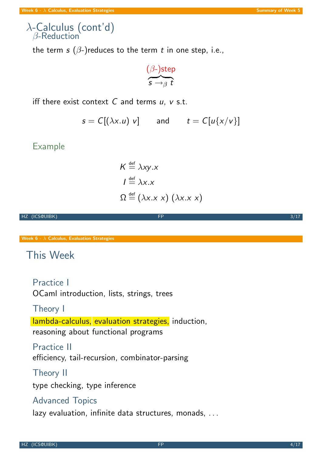### $\lambda$ -Calculus (cont'd)  $\beta$ -Reduction

the term s  $(\beta$ -)reduces to the term t in one step, i.e.,

$$
\overbrace{\mathbf{s} \rightarrow_{\beta} t}^{(\beta\text{-})\text{step}}
$$

iff there exist context  $C$  and terms  $u$ ,  $v$  s.t.

$$
s = C[(\lambda x. u) v] \qquad \text{and} \qquad t = C[u\{x/v\}]
$$

### Example

$$
K \stackrel{\text{def}}{=} \lambda xy.x
$$
  
\n
$$
I \stackrel{\text{def}}{=} \lambda x.x
$$
  
\n
$$
\Omega \stackrel{\text{def}}{=} (\lambda x.x)(\lambda x.x)
$$

HZ (ICS@UIBK) 3/17

Week  $6 - \lambda$  Calculus, Evaluation Strategies

### This Week

Practice I

OCaml introduction, lists, strings, trees

### [Theory I](#page-0-0)

lambda-calculus, evaluation strategies, induction, reasoning about functional programs

### Practice II

efficiency, tail-recursion, combinator-parsing

### Theory II

type checking, type inference

### Advanced Topics

lazy evaluation, infinite data structures, monads, ...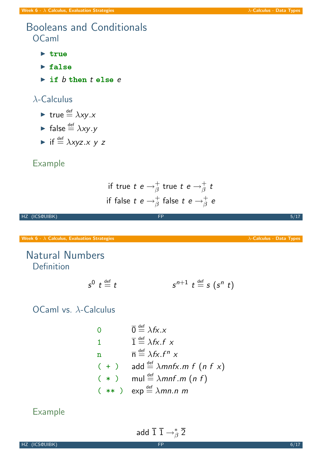### Booleans and Conditionals OCaml

- $\triangleright$  true
- $\blacktriangleright$  false
- $\triangleright$  if  $b$  then  $t$  else  $e$

### λ-Calculus

- If true  $\stackrel{\text{def}}{=} \lambda xy.x$
- **False**  $\stackrel{\text{def}}{=} \lambda xy.y$
- If  $\stackrel{\text{def}}{=} \lambda xyz.x y z$

### Example

if true 
$$
t e \rightarrow^+_\beta
$$
 true  $t e \rightarrow^+_\beta t$   
if false  $t e \rightarrow^+_\beta$  false  $t e \rightarrow^+_\beta e$ 

HZ (ICS@UIBK) 5/17

Week 6 -  $\lambda$  Calculus, Evaluation Strategies  $\lambda$ -Calculus - Data Types

### Natural Numbers Definition

$$
s^0 \t t \stackrel{\text{def}}{=} t \qquad s^{n+1} \t t \stackrel{\text{def}}{=} s \t (s^n \t t)
$$

[OCaml v](#page-0-0)s. λ-Calculus

0 
$$
\overline{0} \stackrel{\text{def}}{=} \lambda fx.x
$$
  
\n1  $\overline{1} \stackrel{\text{def}}{=} \lambda fx.f \times$   
\n1  $\overline{n} \stackrel{\text{def}}{=} \lambda fx.f^n \times$   
\n( + )  $\text{add} \stackrel{\text{def}}{=} \lambda mnfx.m f (n f x)$   
\n( \* )  $\text{mul} \stackrel{\text{def}}{=} \lambda mnf.m (n f)$   
\n( \* )  $\exp \stackrel{\text{def}}{=} \lambda mn.n.m$ 

### Example

<span id="page-2-0"></span>add  $\overline{1} \, \overline{1} \rightarrow^*_{\widehat{G}}$  $_\beta^*$  2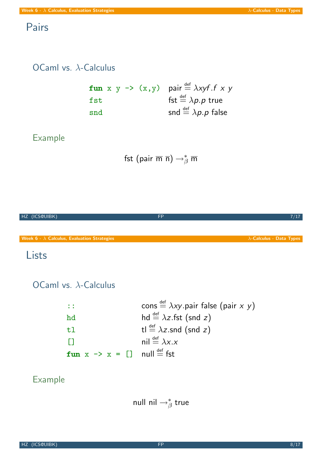### Pairs

### OCaml vs. λ-Calculus

|     |  |  | fun x y -> (x,y) pair $\stackrel{\text{def}}{=} \lambda xyf.f \times y$ |
|-----|--|--|-------------------------------------------------------------------------|
| fst |  |  | fst $\stackrel{\text{def}}{=} \lambda p.p$ true                         |
| snd |  |  | snd $\stackrel{\text{def}}{=} \lambda p.p$ false                        |

### Example

$$
\mathsf{fst}\;(\mathsf{pair}\;\overline{\mathsf{m}}\;\overline{\mathsf{n}}) \to^*_\beta \overline{\mathsf{m}}
$$



### Lists

OCaml vs. λ-Calculus

| $\therefore$                                                   | cons $\stackrel{\text{def}}{=} \lambda xy$ pair false (pair x y) |
|----------------------------------------------------------------|------------------------------------------------------------------|
| hd                                                             | hd $\stackrel{\text{def}}{=} \lambda z$ .fst (snd z)             |
| t1                                                             | tl $\stackrel{\text{def}}{=} \lambda z$ .snd (snd z)             |
| n                                                              | nil $\stackrel{\text{def}}{=} \lambda x.x$                       |
| fun $x \rightarrow x = []$ null $\stackrel{\text{def}}{=}$ fst |                                                                  |

### Example

### null nil  $\rightarrow_{\beta}^*$  $_\beta^*$  true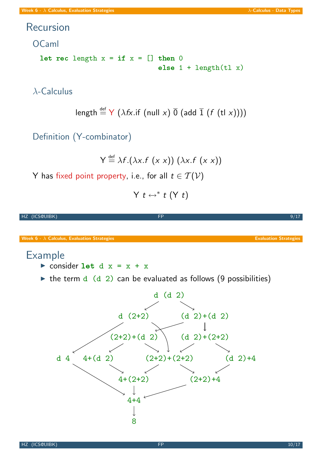### Recursion

OCaml

let rec length  $x = if x = []$  then 0 else 1 + length(tl x)

λ-Calculus

length 
$$
\stackrel{\text{def}}{=} Y (\lambda fx \cdot \text{if} (\text{null } x) \overline{0} (\text{add } \overline{1} (f (tl x))))
$$

Definition (Y-combinator)

$$
Y \stackrel{\text{def}}{=} \lambda f.(\lambda x.f(x x)) (\lambda x.f(x x))
$$

Y has fixed point property, i.e., for all  $t \in \mathcal{T(V)}$ 

<span id="page-4-0"></span>
$$
Y\ t \leftrightarrow^* t\ (Y\ t)
$$

| HZ (ICS@UIBK)                                      | <b>FP</b>                                                                                                                                     | 9/17                         |
|----------------------------------------------------|-----------------------------------------------------------------------------------------------------------------------------------------------|------------------------------|
| Week $6 - \lambda$ Calculus, Evaluation Strategies |                                                                                                                                               | <b>Evaluation Strategies</b> |
| <b>Example</b>                                     | consider let $d x = x + x$                                                                                                                    |                              |
|                                                    | $\triangleright$ the term d (d 2) can be evaluated as follows (9 possibilities)                                                               |                              |
| d <sub>4</sub>                                     | $d$ (d 2)<br>$d(2+2)$<br>$(d 2)+(d 2)$<br>$(2+2)+(d)$<br>$(d 2)+(2+2)$<br>$4+(d)2$<br>$(2+2)+(2+2)$<br>$4+(2+2)$<br>$(2+2)+4$<br>$4 + 4$<br>8 | $(d \ 2)+4$                  |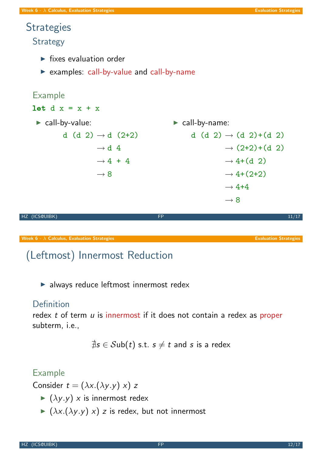# **Strategies**

**Strategy** 

- $\blacktriangleright$  fixes evaluation order
- $\triangleright$  examples: call-by-value and call-by-name

### Example let  $d x = x + x$  $\blacktriangleright$  call-by-value: d (d 2)  $\rightarrow$  d (2+2)  $\rightarrow$  d 4  $\rightarrow$  4 + 4  $\rightarrow 8$  $\blacktriangleright$  call-by-name: d (d 2)  $\rightarrow$  (d 2)+(d 2)  $\rightarrow$  (2+2)+(d 2)  $\rightarrow$  4+(d 2)  $\rightarrow$  4+(2+2)  $\rightarrow$  4+4  $\rightarrow 8$ HZ (ICS@UIBK) FP 11/17 Week 6 -  $\lambda$  Calculus, Evaluation Strategies Evaluation Strategies Evaluation Strategies Evaluation Strategies

## (Leftmost) Innermost Reduction

 $\blacktriangleright$  always reduce leftmost innermost redex

### **Definition**

[redex](#page-0-0)  $t$  of term  $u$  is innermost if it [does](#page-4-0) [not](#page-4-0) [c](#page-4-0)ontain a redex as proper subterm, i.e.,

$$
\nexists s \in \mathcal{S} \mathsf{ub}(t) \text{ s.t. } s \neq t \text{ and } s \text{ is a redex}
$$

### Example

Consider  $t = (\lambda x.(\lambda y. y) x) z$ 

- $\blacktriangleright$  ( $\lambda y. y$ ) x is innermost redex
- $\blacktriangleright$  ( $\lambda x.(\lambda y. y) \times$ ) z is redex, but not innermost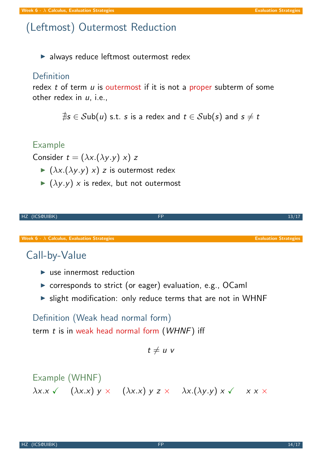## (Leftmost) Outermost Reduction

 $\blacktriangleright$  always reduce leftmost outermost redex

### Definition

redex  $t$  of term  $u$  is outermost if it is not a proper subterm of some other redex in  $u$ , i.e.,

 $\exists s \in \mathcal{S}$ ub $(u)$  s.t. s is a redex and  $t \in \mathcal{S}$ ub $(s)$  and  $s \neq t$ 

### Example

Consider  $t = (\lambda x.(\lambda y. y) x) z$ 

- $\blacktriangleright$  ( $\lambda x.(\lambda y. y)$  x) z is outermost redex
- $\blacktriangleright$  ( $\lambda y. y$ ) x is redex, but not outermost

|                                                                      | <b>FP</b> | 13/17                        |
|----------------------------------------------------------------------|-----------|------------------------------|
| HZ (ICS@UIBK)                                                        |           |                              |
|                                                                      |           |                              |
|                                                                      |           |                              |
| <b>Week 6 - <math>\lambda</math> Calculus, Evaluation Strategies</b> |           | <b>Evaluation Strategies</b> |
|                                                                      |           |                              |

## Call-by-Value

- $\blacktriangleright$  use innermost reduction
- $\triangleright$  corresponds to strict (or eager) evaluation, e.g., OCaml
- $\triangleright$  slight modification: only reduce terms that are not in WHNF

Definition (Weak head normal form) term  $t$  is in weak head normal form  $(WHNF)$  iff

 $t \neq u$  v

Example (WHNF)

\n
$$
\lambda x.x \quad (\lambda x.x) \quad y \times \quad (\lambda x.x) \quad y \quad z \times \quad \lambda x. (\lambda y.y) \quad x \times \quad x \times x
$$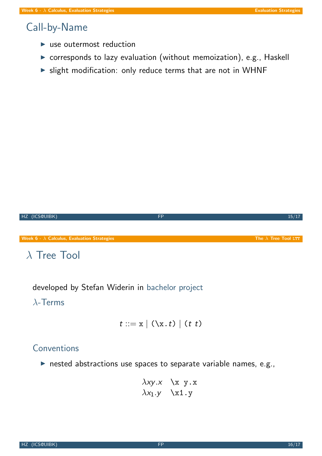### Call-by-Name

- $\blacktriangleright$  use outermost reduction
- $\triangleright$  corresponds to lazy evaluation (without memoization), e.g., Haskell
- $\triangleright$  slight modification: only reduce terms that are not in WHNF

Hz (ICSQUIBK)

\n6 - 
$$
\lambda
$$
 Calculus, Evaluation Strategies

\nThe  $\lambda$  Tree Tool LTT

\n $\lambda$  Tree Tool

developed by Stefan Widerin in bachelor project

### λ-Terms

$$
t ::= x | (\lambda x. t) | (t t)
$$

### Conventions

 $\triangleright$  nested abstractions use spaces to separate variable names, e.g.,

$$
\lambda xy.x \quad \x y.x
$$
  

$$
\lambda x_1.y \quad \x 1.y
$$